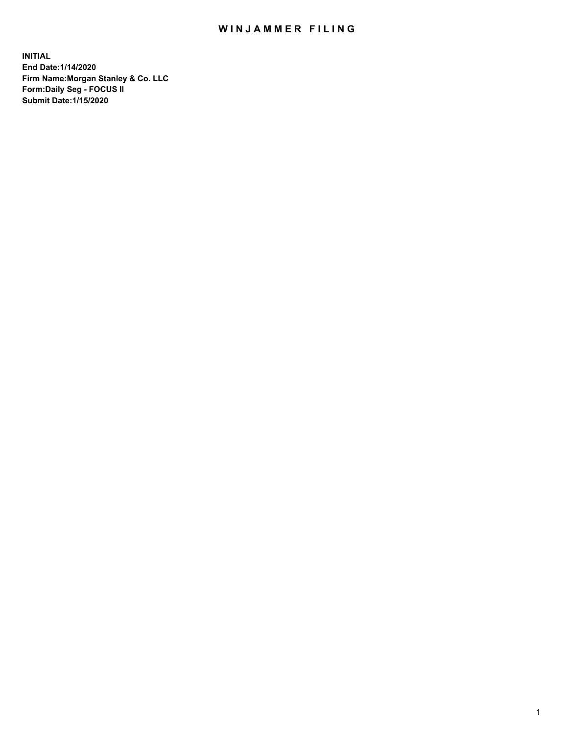## WIN JAMMER FILING

**INITIAL End Date:1/14/2020 Firm Name:Morgan Stanley & Co. LLC Form:Daily Seg - FOCUS II Submit Date:1/15/2020**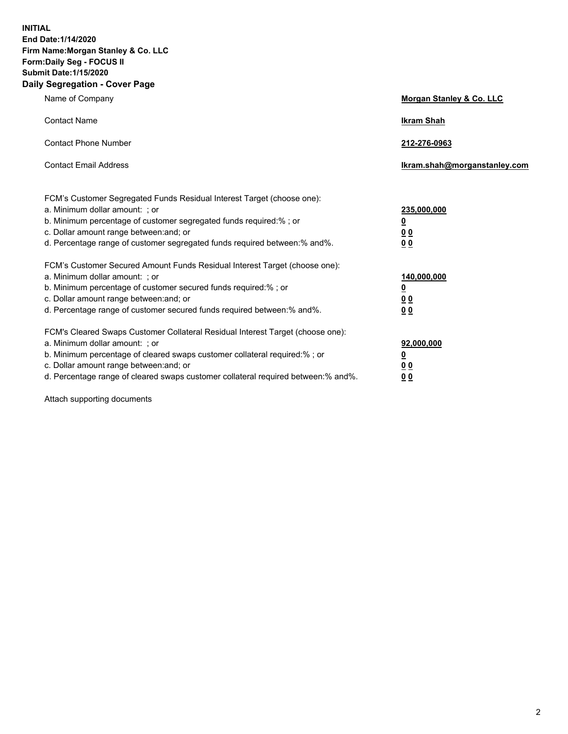**INITIAL End Date:1/14/2020 Firm Name:Morgan Stanley & Co. LLC Form:Daily Seg - FOCUS II Submit Date:1/15/2020 Daily Segregation - Cover Page**

| Name of Company                                                                                                                                                                                                                                                                                                                | Morgan Stanley & Co. LLC                                |
|--------------------------------------------------------------------------------------------------------------------------------------------------------------------------------------------------------------------------------------------------------------------------------------------------------------------------------|---------------------------------------------------------|
| <b>Contact Name</b>                                                                                                                                                                                                                                                                                                            | <b>Ikram Shah</b>                                       |
| <b>Contact Phone Number</b>                                                                                                                                                                                                                                                                                                    | 212-276-0963                                            |
| <b>Contact Email Address</b>                                                                                                                                                                                                                                                                                                   | Ikram.shah@morganstanley.com                            |
| FCM's Customer Segregated Funds Residual Interest Target (choose one):<br>a. Minimum dollar amount: ; or<br>b. Minimum percentage of customer segregated funds required:% ; or<br>c. Dollar amount range between: and; or<br>d. Percentage range of customer segregated funds required between:% and%.                         | 235,000,000<br><u>0</u><br>0 <sup>0</sup><br>00         |
| FCM's Customer Secured Amount Funds Residual Interest Target (choose one):<br>a. Minimum dollar amount: ; or<br>b. Minimum percentage of customer secured funds required:%; or<br>c. Dollar amount range between: and; or<br>d. Percentage range of customer secured funds required between:% and%.                            | 140,000,000<br><u>0</u><br><u>0 0</u><br>0 <sub>0</sub> |
| FCM's Cleared Swaps Customer Collateral Residual Interest Target (choose one):<br>a. Minimum dollar amount: ; or<br>b. Minimum percentage of cleared swaps customer collateral required:% ; or<br>c. Dollar amount range between: and; or<br>d. Percentage range of cleared swaps customer collateral required between:% and%. | 92,000,000<br><u>0</u><br><u>00</u><br>0 <sub>0</sub>   |

Attach supporting documents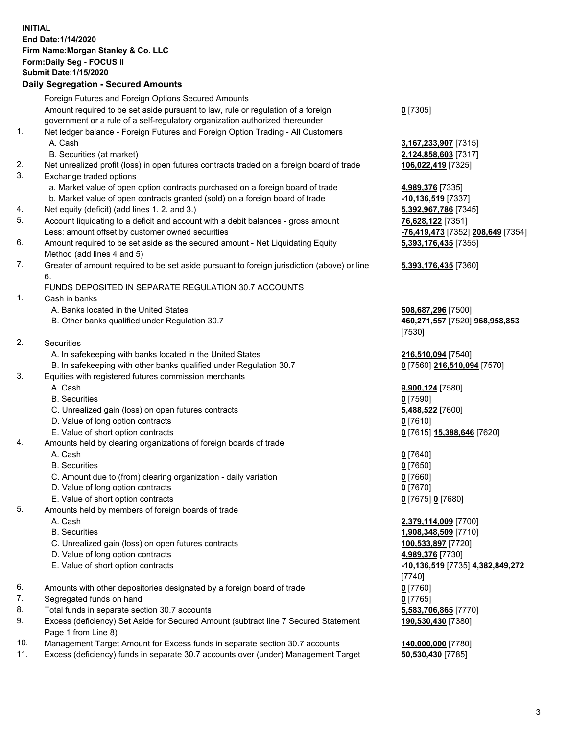## **INITIAL End Date:1/14/2020 Firm Name:Morgan Stanley & Co. LLC Form:Daily Seg - FOCUS II Submit Date:1/15/2020**

## **Daily Segregation - Secured Amounts**

|     | Foreign Futures and Foreign Options Secured Amounts                                                        |                                        |
|-----|------------------------------------------------------------------------------------------------------------|----------------------------------------|
|     | Amount required to be set aside pursuant to law, rule or regulation of a foreign                           | $0$ [7305]                             |
|     | government or a rule of a self-regulatory organization authorized thereunder                               |                                        |
| 1.  | Net ledger balance - Foreign Futures and Foreign Option Trading - All Customers                            |                                        |
|     | A. Cash                                                                                                    | 3,167,233,907 [7315]                   |
|     | B. Securities (at market)                                                                                  | 2,124,858,603 [7317]                   |
| 2.  | Net unrealized profit (loss) in open futures contracts traded on a foreign board of trade                  | 106,022,419 [7325]                     |
| 3.  | Exchange traded options                                                                                    |                                        |
|     | a. Market value of open option contracts purchased on a foreign board of trade                             | 4,989,376 [7335]                       |
|     | b. Market value of open contracts granted (sold) on a foreign board of trade                               | -10,136,519 [7337]                     |
| 4.  | Net equity (deficit) (add lines 1.2. and 3.)                                                               | 5,392,967,786 [7345]                   |
| 5.  | Account liquidating to a deficit and account with a debit balances - gross amount                          | 76,628,122 [7351]                      |
|     | Less: amount offset by customer owned securities                                                           | <mark>-76,419,473</mark> [7352] 2      |
| 6.  | Amount required to be set aside as the secured amount - Net Liquidating Equity                             | 5,393,176,435 [7355]                   |
|     | Method (add lines 4 and 5)                                                                                 |                                        |
| 7.  | Greater of amount required to be set aside pursuant to foreign jurisdiction (above) or line<br>6.          | 5,393,176,435 [7360]                   |
|     | FUNDS DEPOSITED IN SEPARATE REGULATION 30.7 ACCOUNTS                                                       |                                        |
| 1.  | Cash in banks                                                                                              |                                        |
|     | A. Banks located in the United States                                                                      | 508,687,296 [7500]                     |
|     | B. Other banks qualified under Regulation 30.7                                                             | 460,271,557 [7520] 9                   |
|     |                                                                                                            | [7530]                                 |
| 2.  | Securities                                                                                                 |                                        |
|     | A. In safekeeping with banks located in the United States                                                  | 216,510,094 [7540]                     |
|     | B. In safekeeping with other banks qualified under Regulation 30.7                                         | 0 [7560] 216,510,094                   |
| 3.  | Equities with registered futures commission merchants                                                      |                                        |
|     | A. Cash                                                                                                    | 9,900,124 [7580]                       |
|     | <b>B.</b> Securities                                                                                       | $0$ [7590]                             |
|     | C. Unrealized gain (loss) on open futures contracts                                                        | 5,488,522 [7600]                       |
|     | D. Value of long option contracts                                                                          | $0$ [7610]                             |
|     | E. Value of short option contracts                                                                         | 0 [7615] 15,388,646                    |
| 4.  | Amounts held by clearing organizations of foreign boards of trade                                          |                                        |
|     | A. Cash                                                                                                    | $0$ [7640]                             |
|     | <b>B.</b> Securities                                                                                       | $0$ [7650]                             |
|     | C. Amount due to (from) clearing organization - daily variation                                            | $0$ [7660]                             |
|     | D. Value of long option contracts                                                                          | $0$ [7670]                             |
|     | E. Value of short option contracts                                                                         | 0 [7675] 0 [7680]                      |
| 5.  | Amounts held by members of foreign boards of trade                                                         |                                        |
|     | A. Cash                                                                                                    | 2,379,114,009 [7700]                   |
|     | <b>B.</b> Securities                                                                                       | 1,908,348,509 [7710]                   |
|     | C. Unrealized gain (loss) on open futures contracts                                                        | 100,533,897 [7720]                     |
|     | D. Value of long option contracts                                                                          | 4,989,376 [7730]                       |
|     | E. Value of short option contracts                                                                         | <u>-10,136,519</u> [7735] 4.<br>[7740] |
| 6.  | Amounts with other depositories designated by a foreign board of trade                                     | $0$ [7760]                             |
| 7.  | Segregated funds on hand                                                                                   | $0$ [7765]                             |
| 8.  | Total funds in separate section 30.7 accounts                                                              | 5,583,706,865 [7770]                   |
| 9.  | Excess (deficiency) Set Aside for Secured Amount (subtract line 7 Secured Statement<br>Page 1 from Line 8) | 190,530,430 [7380]                     |
| 10. | Management Target Amount for Excess funds in separate section 30.7 accounts                                | 140,000,000 [7780]                     |

11. Excess (deficiency) funds in separate 30.7 accounts over (under) Management Target **50,530,430** [7785]

Less: amount offset by customer owned securities **-76,419,473** [7352] **208,649** [7354]

## **55** [7360]

B. Other banks qualified under Regulation 30.7 **460,271,557** [7520] **968,958,853**

**6,510,094** [7570]

**888,646** [7620]

 E. Value of short option contracts **-10,136,519** [7735] **4,382,849,272 190,530,430** [7380]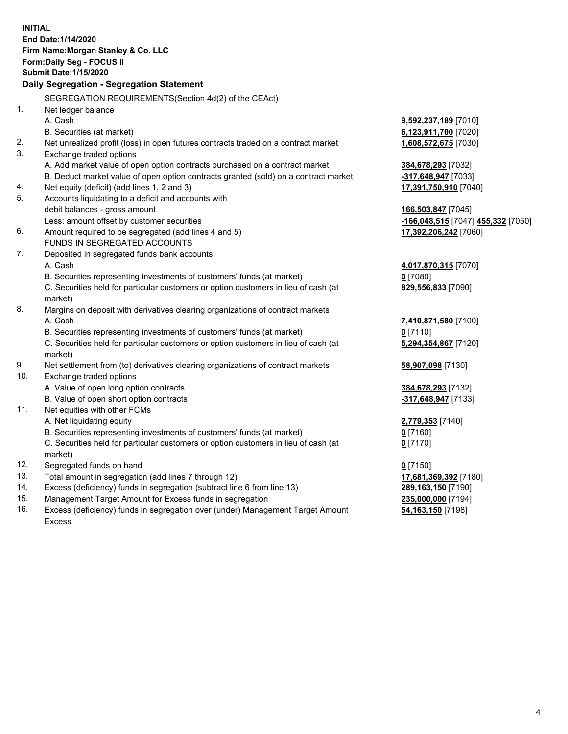|     | <b>INITIAL</b>                                                                      |                                    |
|-----|-------------------------------------------------------------------------------------|------------------------------------|
|     | End Date: 1/14/2020                                                                 |                                    |
|     | Firm Name: Morgan Stanley & Co. LLC                                                 |                                    |
|     | Form: Daily Seg - FOCUS II                                                          |                                    |
|     | <b>Submit Date: 1/15/2020</b>                                                       |                                    |
|     | Daily Segregation - Segregation Statement                                           |                                    |
|     | SEGREGATION REQUIREMENTS(Section 4d(2) of the CEAct)                                |                                    |
| 1.  | Net ledger balance                                                                  |                                    |
|     | A. Cash                                                                             | 9,592,237,189 [7010]               |
|     | B. Securities (at market)                                                           | 6,123,911,700 [7020]               |
| 2.  | Net unrealized profit (loss) in open futures contracts traded on a contract market  | 1,608,572,675 [7030]               |
| 3.  | Exchange traded options                                                             |                                    |
|     | A. Add market value of open option contracts purchased on a contract market         | 384,678,293 [7032]                 |
|     | B. Deduct market value of open option contracts granted (sold) on a contract market | -317,648,947 [7033]                |
| 4.  | Net equity (deficit) (add lines 1, 2 and 3)                                         | 17,391,750,910 [7040]              |
| 5.  | Accounts liquidating to a deficit and accounts with                                 |                                    |
|     | debit balances - gross amount                                                       | 166,503,847 [7045]                 |
|     | Less: amount offset by customer securities                                          | -166,048,515 [7047] 455,332 [7050] |
| 6.  | Amount required to be segregated (add lines 4 and 5)                                | 17,392,206,242 [7060]              |
|     | FUNDS IN SEGREGATED ACCOUNTS                                                        |                                    |
| 7.  | Deposited in segregated funds bank accounts                                         |                                    |
|     | A. Cash                                                                             | 4,017,870,315 [7070]               |
|     | B. Securities representing investments of customers' funds (at market)              | $0$ [7080]                         |
|     | C. Securities held for particular customers or option customers in lieu of cash (at | 829,556,833 [7090]                 |
|     | market)                                                                             |                                    |
| 8.  | Margins on deposit with derivatives clearing organizations of contract markets      |                                    |
|     | A. Cash                                                                             | 7,410,871,580 [7100]               |
|     | B. Securities representing investments of customers' funds (at market)              | $0$ [7110]                         |
|     | C. Securities held for particular customers or option customers in lieu of cash (at | 5,294,354,867 [7120]               |
|     | market)                                                                             |                                    |
| 9.  | Net settlement from (to) derivatives clearing organizations of contract markets     | 58,907,098 [7130]                  |
| 10. | Exchange traded options                                                             |                                    |
|     | A. Value of open long option contracts                                              | 384,678,293 [7132]                 |
|     | B. Value of open short option contracts                                             | -317,648,947 [7133]                |
| 11. | Net equities with other FCMs                                                        |                                    |
|     | A. Net liquidating equity                                                           | 2,779,353 [7140]                   |
|     | B. Securities representing investments of customers' funds (at market)              | $0$ [7160]                         |
|     | C. Securities held for particular customers or option customers in lieu of cash (at | $0$ [7170]                         |
|     | market)                                                                             |                                    |
| 12. | Segregated funds on hand                                                            | $0$ [7150]                         |
| 13. | Total amount in segregation (add lines 7 through 12)                                | 17,681,369,392 [7180]              |
| 14. | Excess (deficiency) funds in segregation (subtract line 6 from line 13)             | 289,163,150 [7190]                 |
| 15. | Management Target Amount for Excess funds in segregation                            | 235,000,000 [7194]                 |
|     |                                                                                     |                                    |

16. Excess (deficiency) funds in segregation over (under) Management Target Amount Excess

**54,163,150** [7198]